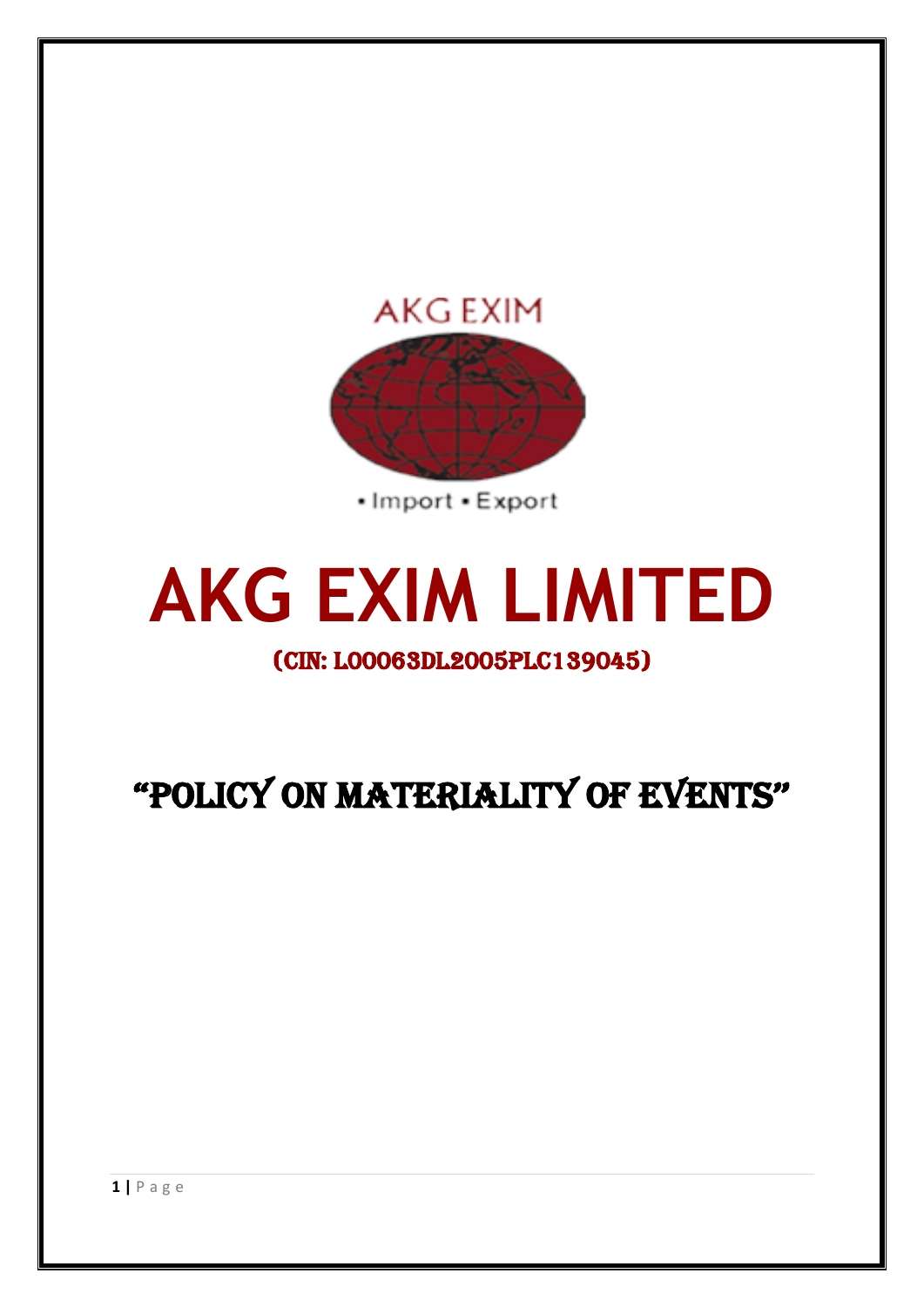

• Import • Export

# **AKG EXIM LIMITED**

(CIN: L00063DL2005PLC139045)

"POLICY ON MATERIALITY OF EVENTS''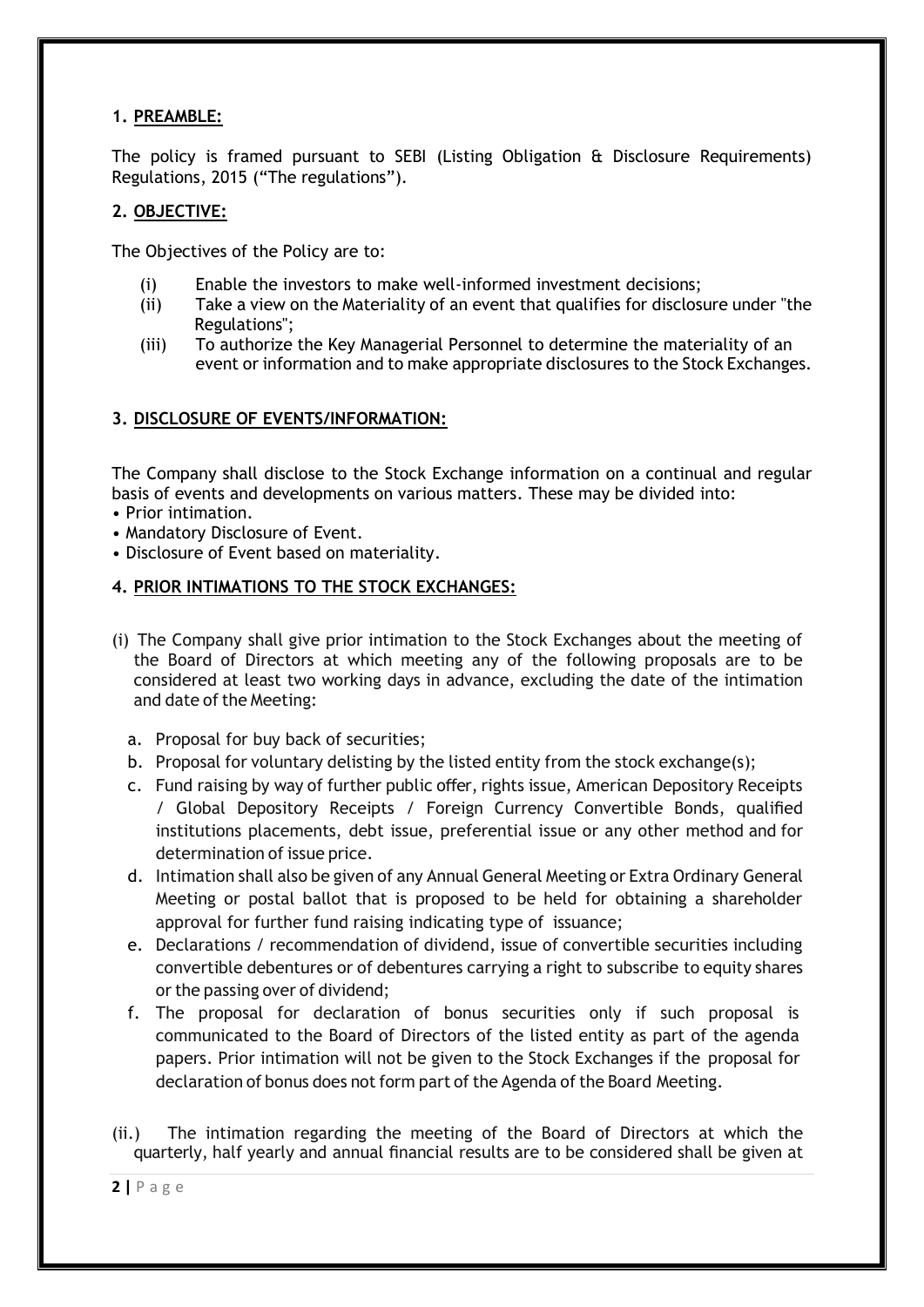## **1. PREAMBLE:**

The policy is framed pursuant to SEBI (Listing Obligation & Disclosure Requirements) Regulations, 2015 ("The regulations").

## **2. OBJECTIVE:**

The Objectives of the Policy are to:

- (i) Enable the investors to make well-informed investment decisions;
- (ii) Take a view on the Materiality of an event that qualifies for disclosure under "the Regulations";
- (iii) To authorize the Key Managerial Personnel to determine the materiality of an event or information and to make appropriate disclosures to the Stock Exchanges.

# **3. DISCLOSURE OF EVENTS/INFORMATION:**

The Company shall disclose to the Stock Exchange information on a continual and regular basis of events and developments on various matters. These may be divided into:

- Prior intimation.
- Mandatory Disclosure of Event.
- Disclosure of Event based on materiality.

## **4. PRIOR INTIMATIONS TO THE STOCK EXCHANGES:**

- (i) The Company shall give prior intimation to the Stock Exchanges about the meeting of the Board of Directors at which meeting any of the following proposals are to be considered at least two working days in advance, excluding the date of the intimation and date of the Meeting:
	- a. Proposal for buy back of securities;
	- b. Proposal for voluntary delisting by the listed entity from the stock exchange(s);
	- c. Fund raising by way of further public offer, rights issue, American Depository Receipts / Global Depository Receipts / Foreign Currency Convertible Bonds, qualified institutions placements, debt issue, preferential issue or any other method and for determination of issue price.
	- d. Intimation shall also be given of any Annual General Meeting or Extra Ordinary General Meeting or postal ballot that is proposed to be held for obtaining a shareholder approval for further fund raising indicating type of issuance;
	- e. Declarations / recommendation of dividend, issue of convertible securities including convertible debentures or of debentures carrying a right to subscribe to equity shares or the passing over of dividend;
	- f. The proposal for declaration of bonus securities only if such proposal is communicated to the Board of Directors of the listed entity as part of the agenda papers. Prior intimation will not be given to the Stock Exchanges if the proposal for declaration of bonus does not form part of the Agenda of the Board Meeting.
- (ii.) The intimation regarding the meeting of the Board of Directors at which the quarterly, half yearly and annual financial results are to be considered shall be given at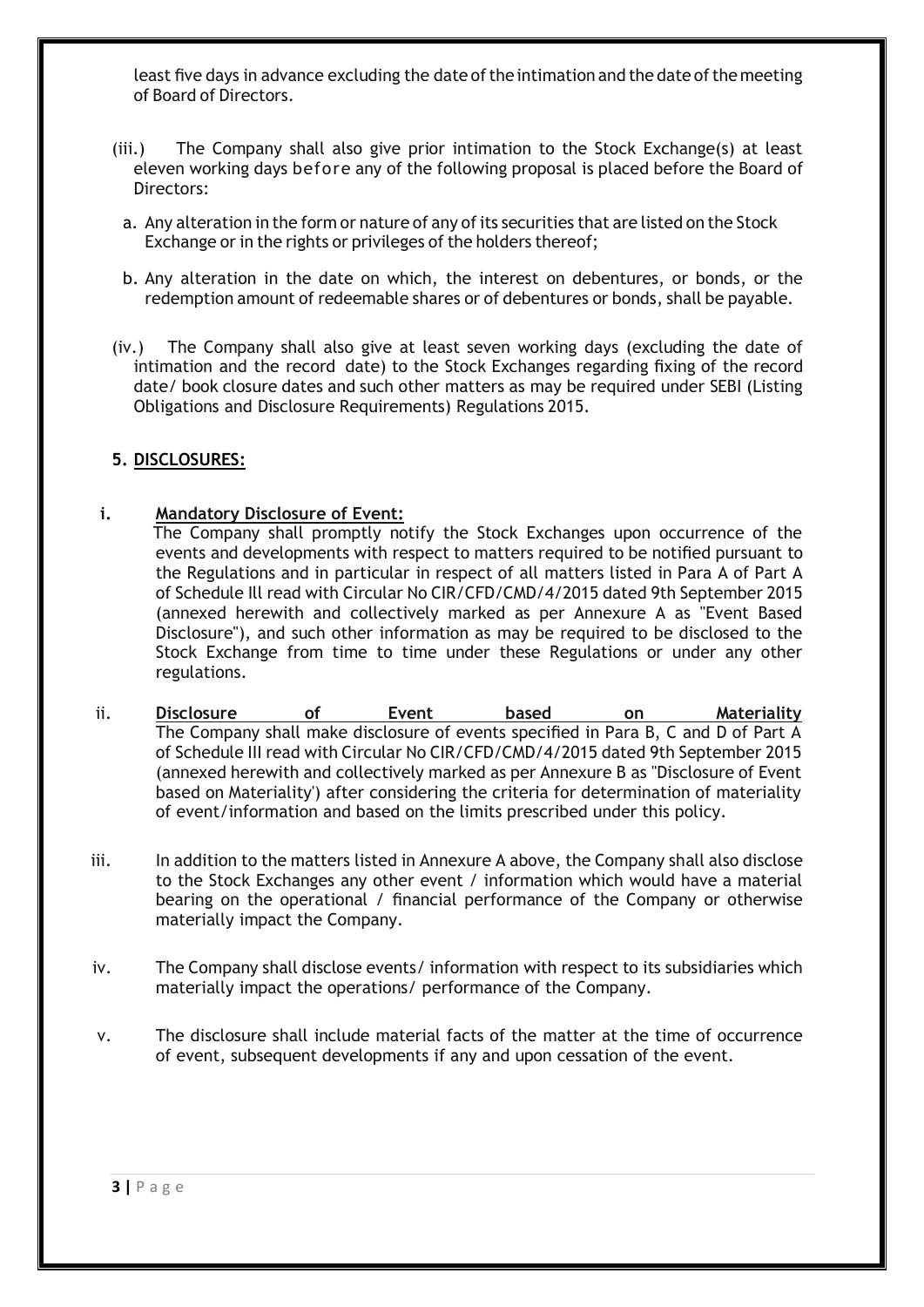least five days in advance excluding the date of the intimation and the date of the meeting of Board of Directors.

- (iii.) The Company shall also give prior intimation to the Stock Exchange(s) at least eleven working days before any of the following proposal is placed before the Board of Directors:
	- a. Any alteration in the form or nature of any of its securities that are listed on the Stock Exchange or in the rights or privileges of the holders thereof;
- b. Any alteration in the date on which, the interest on debentures, or bonds, or the redemption amount of redeemable shares or of debentures or bonds, shall be payable.
- (iv.) The Company shall also give at least seven working days (excluding the date of intimation and the record date) to the Stock Exchanges regarding fixing of the record date/ book closure dates and such other matters as may be required under SEBI (Listing Obligations and Disclosure Requirements) Regulations 2015.

#### **5. DISCLOSURES:**

**i. Mandatory Disclosure of Event:**

 The Company shall promptly notify the Stock Exchanges upon occurrence of the events and developments with respect to matters required to be notified pursuant to the Regulations and in particular in respect of all matters listed in Para A of Part A of Schedule Ill read with Circular No CIR/CFD/CMD/4/2015 dated 9th September 2015 (annexed herewith and collectively marked as per Annexure A as "Event Based Disclosure"), and such other information as may be required to be disclosed to the Stock Exchange from time to time under these Regulations or under any other regulations.

- ii. **Disclosure of Event based on Materiality**  The Company shall make disclosure of events specified in Para B, C and D of Part A of Schedule III read with Circular No CIR/CFD/CMD/4/2015 dated 9th September 2015 (annexed herewith and collectively marked as per Annexure B as "Disclosure of Event based on Materiality') after considering the criteria for determination of materiality of event/information and based on the limits prescribed under this policy.
- iii. In addition to the matters listed in Annexure A above, the Company shall also disclose to the Stock Exchanges any other event / information which would have a material bearing on the operational / financial performance of the Company or otherwise materially impact the Company.
- iv. The Company shall disclose events/ information with respect to its subsidiaries which materially impact the operations/ performance of the Company.
- v. The disclosure shall include material facts of the matter at the time of occurrence of event, subsequent developments if any and upon cessation of the event.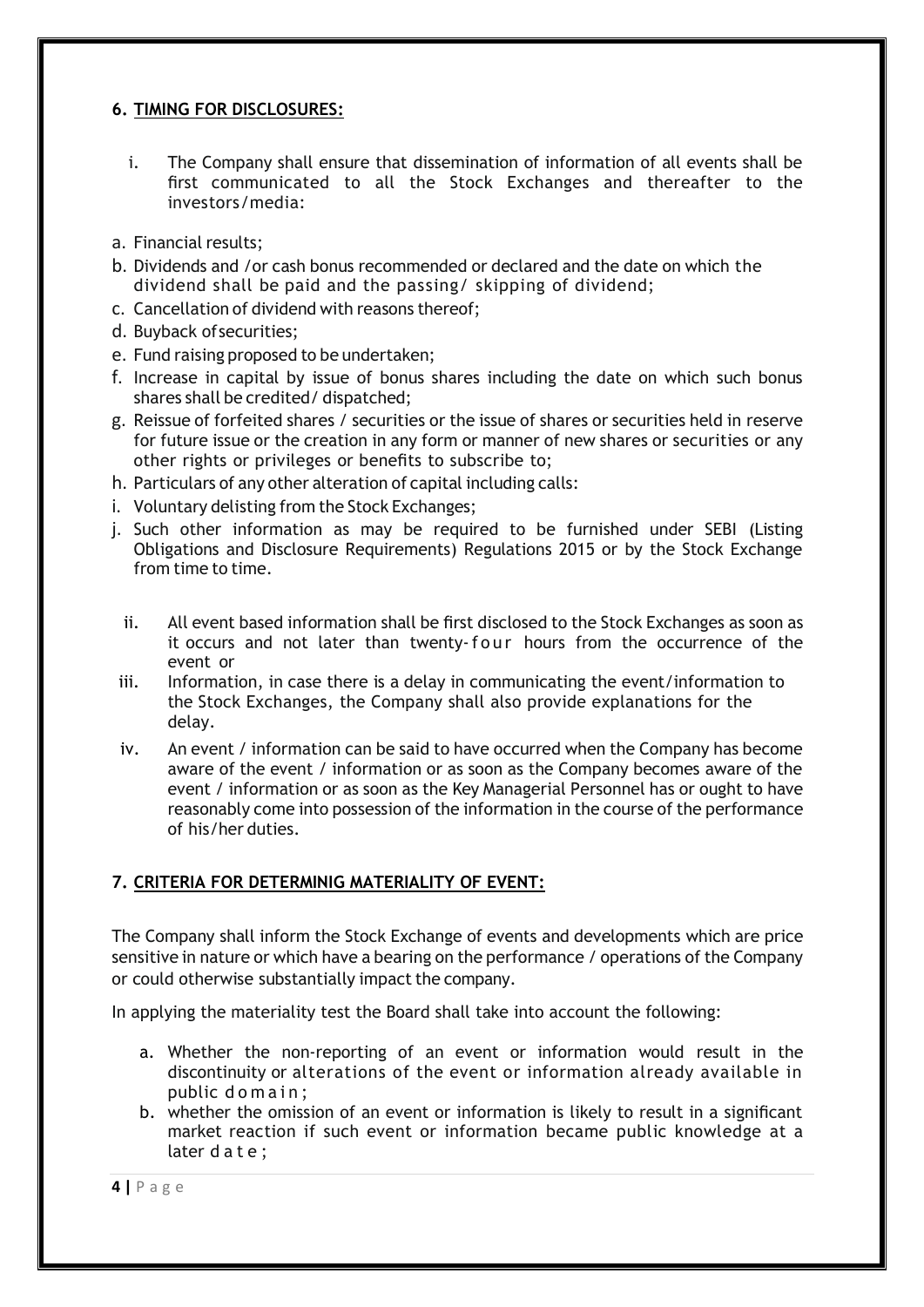## **6. TIMING FOR DISCLOSURES:**

- i. The Company shall ensure that dissemination of information of all events shall be first communicated to all the Stock Exchanges and thereafter to the investors/media:
- a. Financial results;
- b. Dividends and /or cash bonus recommended or declared and the date on which the dividend shall be paid and the passing/ skipping of dividend;
- c. Cancellation of dividend with reasons thereof;
- d. Buyback ofsecurities;
- e. Fund raising proposed to be undertaken;
- f. Increase in capital by issue of bonus shares including the date on which such bonus shares shall be credited/ dispatched;
- g. Reissue of forfeited shares / securities or the issue of shares or securities held in reserve for future issue or the creation in any form or manner of new shares or securities or any other rights or privileges or benefits to subscribe to;
- h. Particulars of any other alteration of capital including calls:
- i. Voluntary delisting from the Stock Exchanges;
- j. Such other information as may be required to be furnished under SEBI (Listing Obligations and Disclosure Requirements) Regulations 2015 or by the Stock Exchange from time to time.
	- ii. All event based information shall be first disclosed to the Stock Exchanges as soon as it occurs and not later than twenty-f o ur hours from the occurrence of the event or
- iii. Information, in case there is a delay in communicating the event/information to the Stock Exchanges, the Company shall also provide explanations for the delay.
- iv. An event / information can be said to have occurred when the Company has become aware of the event / information or as soon as the Company becomes aware of the event / information or as soon as the Key Managerial Personnel has or ought to have reasonably come into possession of the information in the course of the performance of his/her duties.

## **7. CRITERIA FOR DETERMINIG MATERIALITY OF EVENT:**

The Company shall inform the Stock Exchange of events and developments which are price sensitive in nature or which have a bearing on the performance / operations of the Company or could otherwise substantially impact the company.

In applying the materiality test the Board shall take into account the following:

- a. Whether the non-reporting of an event or information would result in the discontinuity or alterations of the event or information already available in public domain:
- b. whether the omission of an event or information is likely to result in a significant market reaction if such event or information became public knowledge at a later d a t e;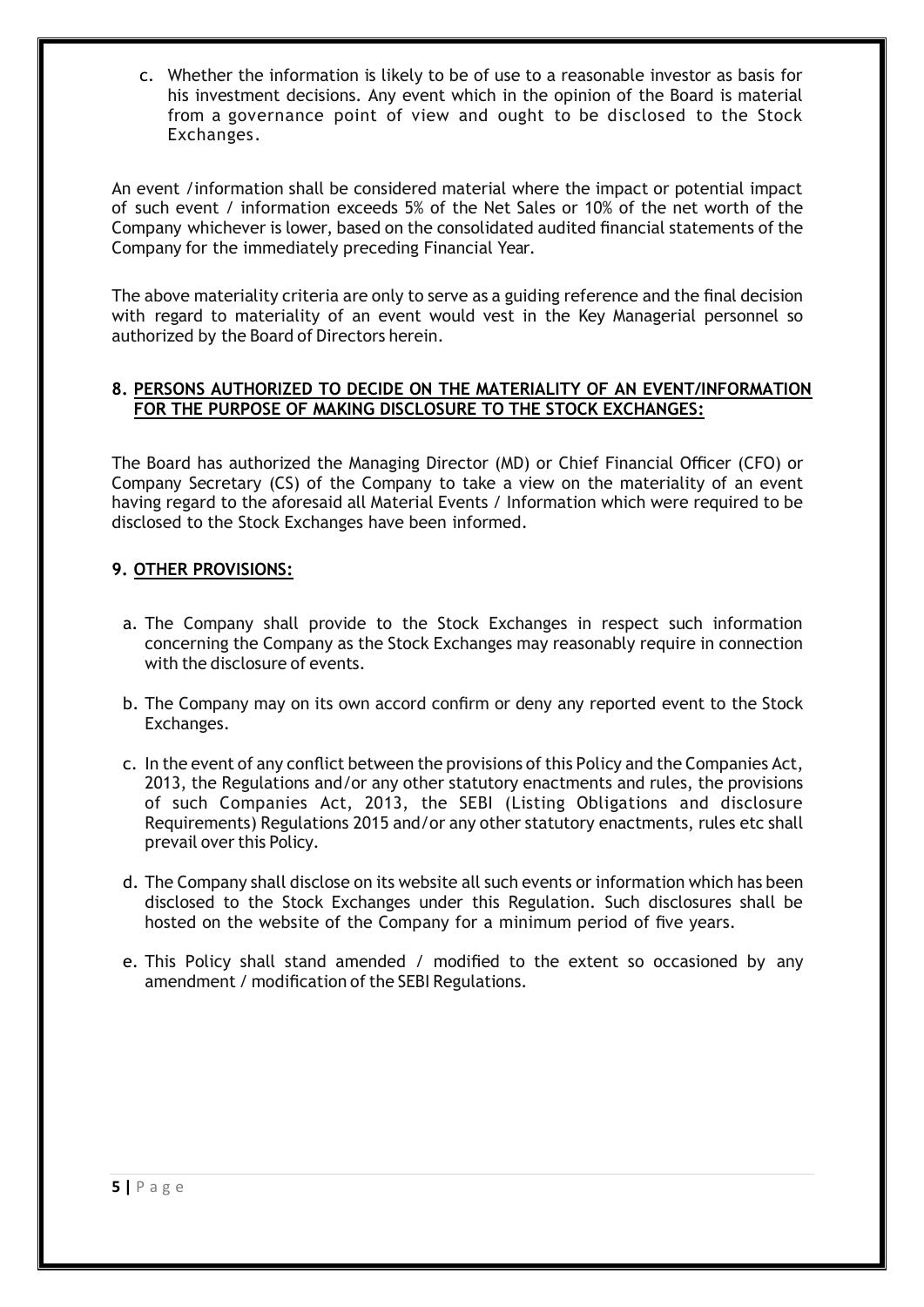c. Whether the information is likely to be of use to a reasonable investor as basis for his investment decisions. Any event which in the opinion of the Board is material from a governance point of view and ought to be disclosed to the Stock Exchanges.

An event /information shall be considered material where the impact or potential impact of such event / information exceeds 5% of the Net Sales or 10% of the net worth of the Company whichever is lower, based on the consolidated audited financial statements of the Company for the immediately preceding Financial Year.

The above materiality criteria are only to serve as a guiding reference and the final decision with regard to materiality of an event would vest in the Key Managerial personnel so authorized by the Board of Directors herein.

#### **8. PERSONS AUTHORIZED TO DECIDE ON THE MATERIALITY OF AN EVENT/INFORMATION FOR THE PURPOSE OF MAKING DISCLOSURE TO THE STOCK EXCHANGES:**

The Board has authorized the Managing Director (MD) or Chief Financial Officer (CFO) or Company Secretary (CS) of the Company to take a view on the materiality of an event having regard to the aforesaid all Material Events / Information which were required to be disclosed to the Stock Exchanges have been informed.

#### **9. OTHER PROVISIONS:**

- a. The Company shall provide to the Stock Exchanges in respect such information concerning the Company as the Stock Exchanges may reasonably require in connection with the disclosure of events.
- b. The Company may on its own accord confirm or deny any reported event to the Stock Exchanges.
- c. In the event of any conflict between the provisions of this Policy and the Companies Act, 2013, the Regulations and/or any other statutory enactments and rules, the provisions of such Companies Act, 2013, the SEBI (Listing Obligations and disclosure Requirements) Regulations 2015 and/or any other statutory enactments, rules etc shall prevail over this Policy.
- d. The Company shall disclose on its website all such events or information which has been disclosed to the Stock Exchanges under this Regulation. Such disclosures shall be hosted on the website of the Company for a minimum period of five years.
- e. This Policy shall stand amended / modified to the extent so occasioned by any amendment / modification of the SEBI Regulations.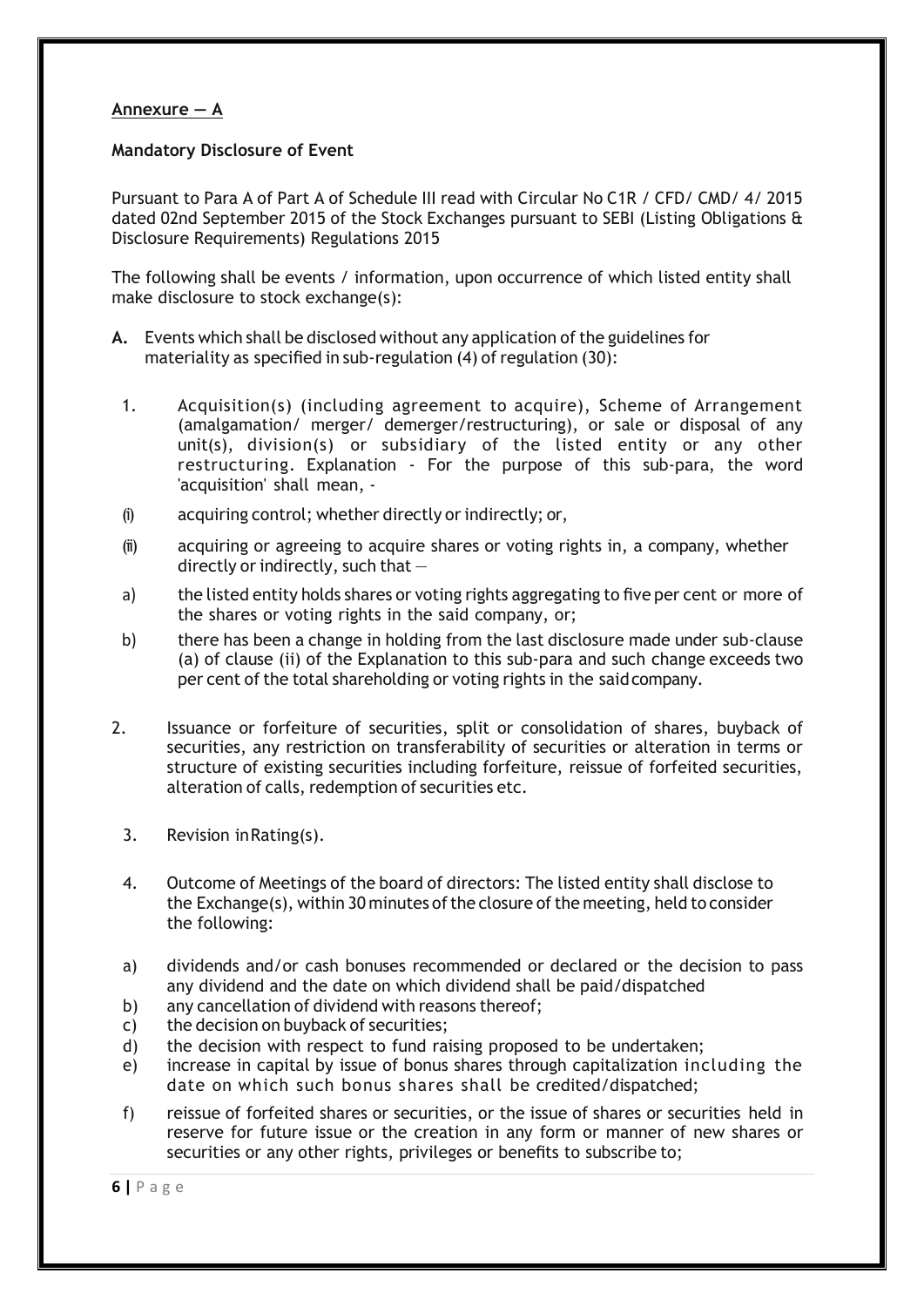#### **Annexure — A**

#### **Mandatory Disclosure of Event**

Pursuant to Para A of Part A of Schedule III read with Circular No C1R / CFD/ CMD/ 4/ 2015 dated 02nd September 2015 of the Stock Exchanges pursuant to SEBI (Listing Obligations & Disclosure Requirements) Regulations 2015

The following shall be events / information, upon occurrence of which listed entity shall make disclosure to stock exchange(s):

- **A.** Events which shall be disclosed without any application ofthe guidelines for materiality as specified in sub-regulation (4) of regulation (30):
	- 1. Acquisition(s) (including agreement to acquire), Scheme of Arrangement (amalgamation/ merger/ demerger/restructuring), or sale or disposal of any unit(s), division(s) or subsidiary of the listed entity or any other restructuring. Explanation - For the purpose of this sub-para, the word 'acquisition' shall mean, -
	- (i) acquiring control; whether directly or indirectly; or,
	- (ii) acquiring or agreeing to acquire shares or voting rights in, a company, whether directly or indirectly, such that  $-$
	- a) the listed entity holds shares or voting rights aggregating to five per cent or more of the shares or voting rights in the said company, or;
	- b) there has been a change in holding from the last disclosure made under sub-clause (a) of clause (ii) of the Explanation to this sub-para and such change exceeds two per cent of the total shareholding or voting rights in the said company.
- 2. Issuance or forfeiture of securities, split or consolidation of shares, buyback of securities, any restriction on transferability of securities or alteration in terms or structure of existing securities including forfeiture, reissue of forfeited securities, alteration of calls, redemption of securities etc.
	- 3. Revision inRating(s).
	- 4. Outcome of Meetings of the board of directors: The listed entity shall disclose to the Exchange(s), within 30 minutes of the closure of the meeting, held to consider the following:
	- a) dividends and/or cash bonuses recommended or declared or the decision to pass any dividend and the date on which dividend shall be paid/dispatched
	- b) any cancellation of dividend with reasons thereof;
	- c) the decision on buyback of securities;
	- d) the decision with respect to fund raising proposed to be undertaken;
	- e) increase in capital by issue of bonus shares through capitalization including the date on which such bonus shares shall be credited/dispatched;
	- f) reissue of forfeited shares or securities, or the issue of shares or securities held in reserve for future issue or the creation in any form or manner of new shares or securities or any other rights, privileges or benefits to subscribe to;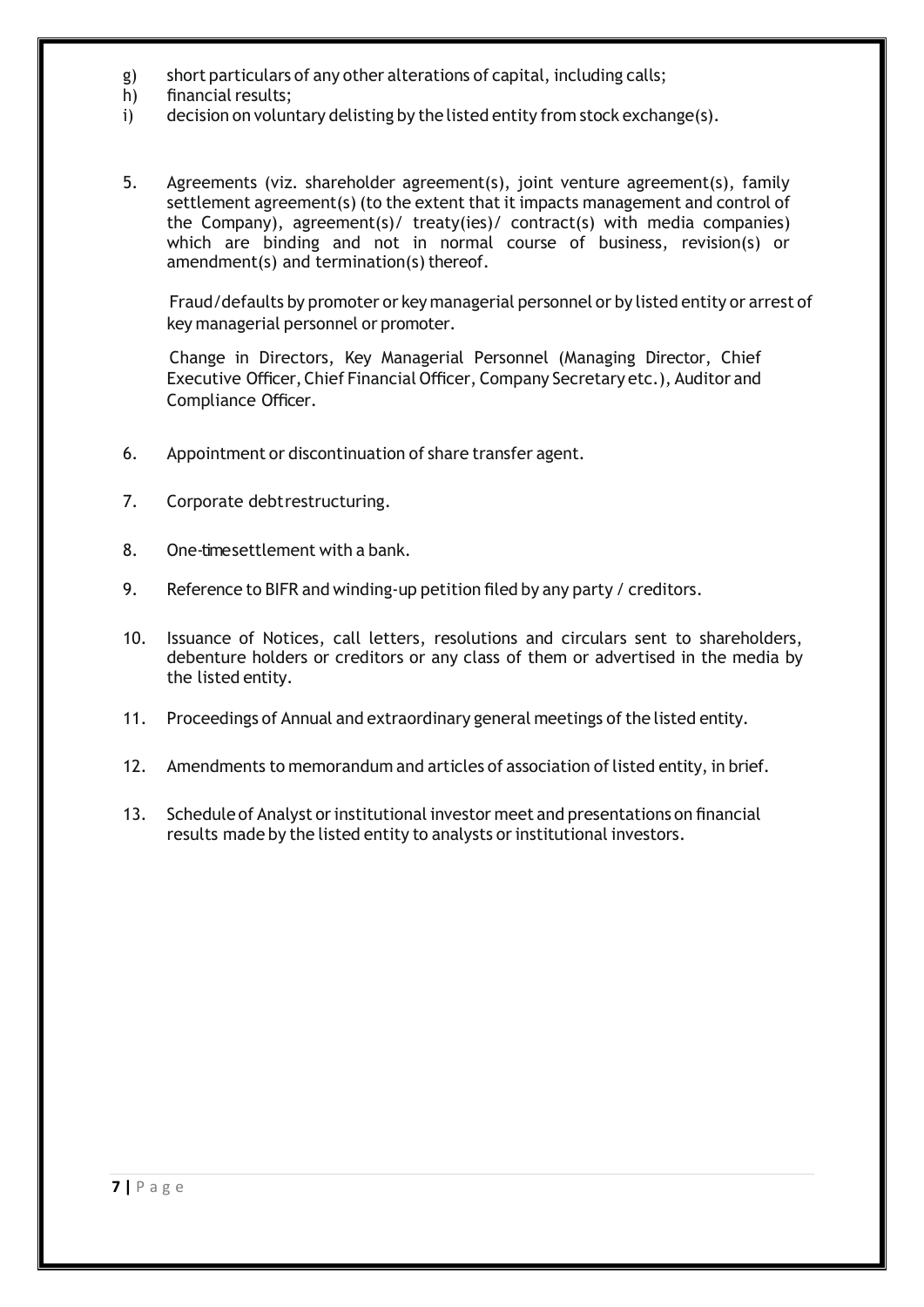- g) short particulars of any other alterations of capital, including calls;
- h) financial results;
- i) decision on voluntary delisting by the listed entity from stock exchange(s).
- 5. Agreements (viz. shareholder agreement(s), joint venture agreement(s), family settlement agreement(s) (to the extent that it impacts management and control of the Company), agreement(s)/ treaty(ies)/ contract(s) with media companies) which are binding and not in normal course of business, revision(s) or amendment(s) and termination(s) thereof.

 Fraud/defaults by promoter or key managerial personnel or by listed entity or arrest of key managerial personnel or promoter.

 Change in Directors, Key Managerial Personnel (Managing Director, Chief Executive Officer, Chief Financial Officer, Company Secretary etc.), Auditor and Compliance Officer.

- 6. Appointment or discontinuation of share transfer agent.
- 7. Corporate debtrestructuring.
- 8. One-timesettlement with a bank.
- 9. Reference to BIFR and winding-up petition filed by any party / creditors.
- 10. Issuance of Notices, call letters, resolutions and circulars sent to shareholders, debenture holders or creditors or any class of them or advertised in the media by the listed entity.
- 11. Proceedings of Annual and extraordinary general meetings of the listed entity.
- 12. Amendments to memorandum and articles of association of listed entity, in brief.
- 13. Schedule of Analyst orinstitutional investor meet and presentations on financial results made by the listed entity to analysts or institutional investors.